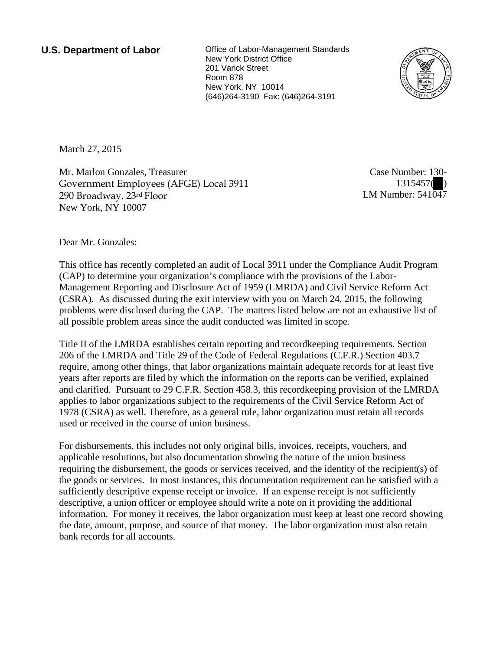**U.S. Department of Labor Office of Labor-Management Standards** New York District Office 201 Varick Street Room 878 New York, NY 10014 (646)264-3190 Fax: (646)264-3191



March 27, 2015

Mr. Marlon Gonzales, Treasurer Government Employees (AFGE) Local 3911 290 Broadway, 23rd Floor New York, NY 10007

Case Number: 130- 1315457( ) LM Number:  $541\overline{04}7$ 

Dear Mr. Gonzales:

This office has recently completed an audit of Local 3911 under the Compliance Audit Program (CAP) to determine your organization's compliance with the provisions of the Labor-Management Reporting and Disclosure Act of 1959 (LMRDA) and Civil Service Reform Act (CSRA). As discussed during the exit interview with you on March 24, 2015, the following problems were disclosed during the CAP. The matters listed below are not an exhaustive list of all possible problem areas since the audit conducted was limited in scope.

Title II of the LMRDA establishes certain reporting and recordkeeping requirements. Section 206 of the LMRDA and Title 29 of the Code of Federal Regulations (C.F.R.) Section 403.7 require, among other things, that labor organizations maintain adequate records for at least five years after reports are filed by which the information on the reports can be verified, explained and clarified. Pursuant to 29 C.F.R. Section 458.3, this recordkeeping provision of the LMRDA applies to labor organizations subject to the requirements of the Civil Service Reform Act of 1978 (CSRA) as well. Therefore, as a general rule, labor organization must retain all records used or received in the course of union business.

For disbursements, this includes not only original bills, invoices, receipts, vouchers, and applicable resolutions, but also documentation showing the nature of the union business requiring the disbursement, the goods or services received, and the identity of the recipient(s) of the goods or services. In most instances, this documentation requirement can be satisfied with a sufficiently descriptive expense receipt or invoice. If an expense receipt is not sufficiently descriptive, a union officer or employee should write a note on it providing the additional information. For money it receives, the labor organization must keep at least one record showing the date, amount, purpose, and source of that money. The labor organization must also retain bank records for all accounts.